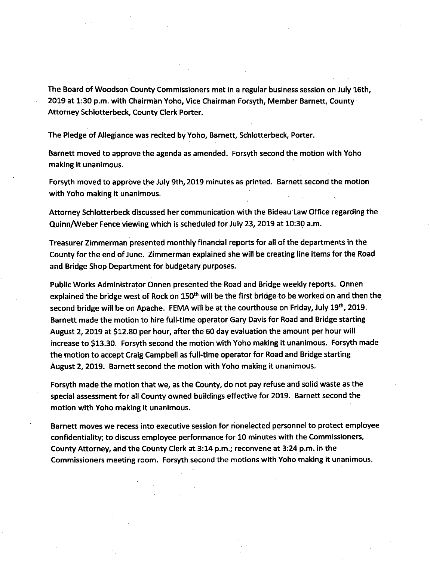The Board of Woodson County Commissioners met in a regular business session on July 16th, 2019 at 1:30 p.m. with Chairman Yoho, Vice Chairman Forsyth, Member Barnett, County Attorney Schlotterbeck, County Clerk Porter.

The Pledge of Allegiance was recited by Yoho, Barnett, Schlotterbeck, Porter.

Barnett moved to approve the agenda as amended. Forsyth second the motion with Yoho making it unanimous.

Forsyth moved to approve the July 9th, 2019 minutes as printed. Barnett second the motion with Yoho making it unanimous.

Attorney Schlotterbeck discussed her communication with the Bideau Law Office regarding the Quinn/Weber Fence viewing which is scheduled for July 23, 2019 at 10:30 a.m.

Treasurer Zimmerman presented monthly financial reports for all of the departments in the County for the end of June. Zimmerman explained she will be creating line items for the Road and Bridge Shop Department for budgetary purposes.

Public Works Administrator Onnen presented the Road and Bridge weekly reports. Onnen explained the bridge west of Rock on  $150<sup>th</sup>$  will be the first bridge to be worked on and then the second bridge will be on Apache. FEMA will be at the courthouse on Friday, July 19<sup>th</sup>, 2019. Barnett made the motion to hire full-time operator Gary Davis for Road and Bridge starting August 2, 2019 at \$12.80 per hour, after the 60 day evaluation the amount per hour will increase to \$13.30. Forsyth second the motion with Yoho making it unanimous. Forsyth made the motion to accept Craig Campbell as full-time operator for Road and Bridge starting August 2, 2019. Barnett second the motion with Yoho making it unanimous.

Forsyth made the motion that we, as the County, do not pay refuse and solid waste as the special assessment for all County owned buildings effective for 2019. Barnett second the motion with Yoho making it unanimous.

Barnett moves we recess into executive session for nonelected personnel to protect employee confidentiality; to discuss employee performance for 10 minutes with the Commissioners, County Attorney, and the County Clerk at 3:14 p.m.; reconvene at 3:24 p.m. in the Commissioners meeting room. Forsyth second the motions with Yoho making it unanimous.